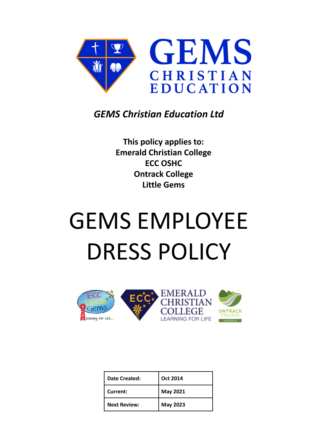

## *GEMS Christian Education Ltd*

**This policy applies to: Emerald Christian College ECC OSHC Ontrack College Little Gems**

# GEMS EMPLOYEE DRESS POLICY



| Date Created:       | <b>Oct 2014</b> |
|---------------------|-----------------|
| Current:            | May 2021        |
| <b>Next Review:</b> | <b>May 2023</b> |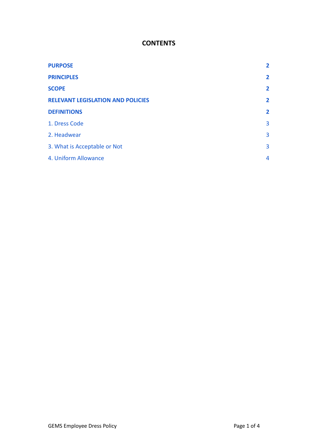### **CONTENTS**

| <b>PURPOSE</b>                           | 2              |
|------------------------------------------|----------------|
| <b>PRINCIPLES</b>                        | $\mathbf{2}$   |
| <b>SCOPE</b>                             | $\overline{2}$ |
| <b>RELEVANT LEGISLATION AND POLICIES</b> | $\mathbf{2}$   |
| <b>DEFINITIONS</b>                       | $\mathbf{2}$   |
| 1. Dress Code                            | 3              |
| 2. Headwear                              | 3              |
| 3. What is Acceptable or Not             | 3              |
| 4. Uniform Allowance                     | 4              |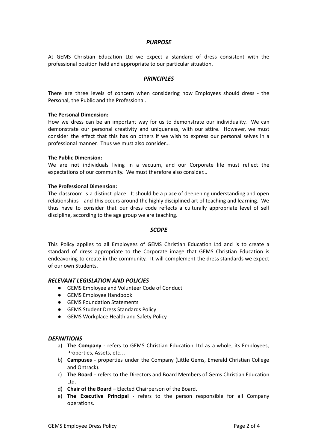#### *PURPOSE*

<span id="page-2-0"></span>At GEMS Christian Education Ltd we expect a standard of dress consistent with the professional position held and appropriate to our particular situation.

#### *PRINCIPLES*

<span id="page-2-1"></span>There are three levels of concern when considering how Employees should dress - the Personal, the Public and the Professional.

#### **The Personal Dimension:**

How we dress can be an important way for us to demonstrate our individuality. We can demonstrate our personal creativity and uniqueness, with our attire. However, we must consider the effect that this has on others if we wish to express our personal selves in a professional manner. Thus we must also consider...

#### **The Public Dimension:**

We are not individuals living in a vacuum, and our Corporate life must reflect the expectations of our community. We must therefore also consider...

#### **The Professional Dimension:**

The classroom is a distinct place. It should be a place of deepening understanding and open relationships - and this occurs around the highly disciplined art of teaching and learning. We thus have to consider that our dress code reflects a culturally appropriate level of self discipline, according to the age group we are teaching.

#### *SCOPE*

<span id="page-2-2"></span>This Policy applies to all Employees of GEMS Christian Education Ltd and is to create a standard of dress appropriate to the Corporate image that GEMS Christian Education is endeavoring to create in the community. It will complement the dress standards we expect of our own Students.

#### <span id="page-2-3"></span>*RELEVANT LEGISLATION AND POLICIES*

- GEMS Employee and Volunteer Code of Conduct
- GEMS Employee Handbook
- GEMS Foundation Statements
- GEMS Student Dress Standards Policy
- GEMS Workplace Health and Safety Policy

#### <span id="page-2-4"></span>*DEFINITIONS*

- a) **The Company** refers to GEMS Christian Education Ltd as a whole, its Employees, Properties, Assets, etc…
- b) **Campuses** properties under the Company (Little Gems, Emerald Christian College and Ontrack).
- c) **The Board** refers to the Directors and Board Members of Gems Christian Education Ltd.
- d) **Chair of the Board** Elected Chairperson of the Board.
- e) **The Executive Principal** refers to the person responsible for all Company operations.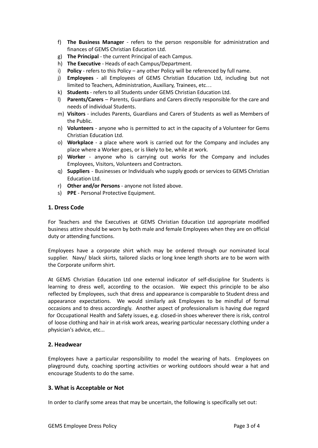- f) **The Business Manager** refers to the person responsible for administration and finances of GEMS Christian Education Ltd.
- g) **The Principal** the current Principal of each Campus.
- h) **The Executive** Heads of each Campus/Department.
- i) **Policy** refers to this Policy any other Policy will be referenced by full name.
- j) **Employees** all Employees of GEMS Christian Education Ltd, including but not limited to Teachers, Administration, Auxiliary, Trainees, etc…
- k) **Students** refers to all Students under GEMS Christian Education Ltd.
- l) **Parents/Carers** Parents, Guardians and Carers directly responsible for the care and needs of individual Students.
- m) **Visitors** includes Parents, Guardians and Carers of Students as well as Members of the Public.
- n) **Volunteers** anyone who is permitted to act in the capacity of a Volunteer for Gems Christian Education Ltd.
- o) **Workplace** a place where work is carried out for the Company and includes any place where a Worker goes, or is likely to be, while at work.
- p) **Worker** anyone who is carrying out works for the Company and includes Employees, Visitors, Volunteers and Contractors.
- q) **Suppliers** Businesses or Individuals who supply goods or services to GEMS Christian Education Ltd.
- r) **Other and/or Persons** anyone not listed above.
- s) **PPE** Personal Protective Equipment.

#### <span id="page-3-0"></span>**1. Dress Code**

For Teachers and the Executives at GEMS Christian Education Ltd appropriate modified business attire should be worn by both male and female Employees when they are on official duty or attending functions.

Employees have a corporate shirt which may be ordered through our nominated local supplier. Navy/ black skirts, tailored slacks or long knee length shorts are to be worn with the Corporate uniform shirt.

At GEMS Christian Education Ltd one external indicator of self-discipline for Students is learning to dress well, according to the occasion. We expect this principle to be also reflected by Employees, such that dress and appearance is comparable to Student dress and appearance expectations. We would similarly ask Employees to be mindful of formal occasions and to dress accordingly. Another aspect of professionalism is having due regard for Occupational Health and Safety issues, e.g. closed-in shoes wherever there is risk, control of loose clothing and hair in at-risk work areas, wearing particular necessary clothing under a physician's advice, etc...

#### <span id="page-3-1"></span>**2. Headwear**

Employees have a particular responsibility to model the wearing of hats. Employees on playground duty, coaching sporting activities or working outdoors should wear a hat and encourage Students to do the same.

#### <span id="page-3-2"></span>**3. What is Acceptable or Not**

In order to clarify some areas that may be uncertain, the following is specifically set out: